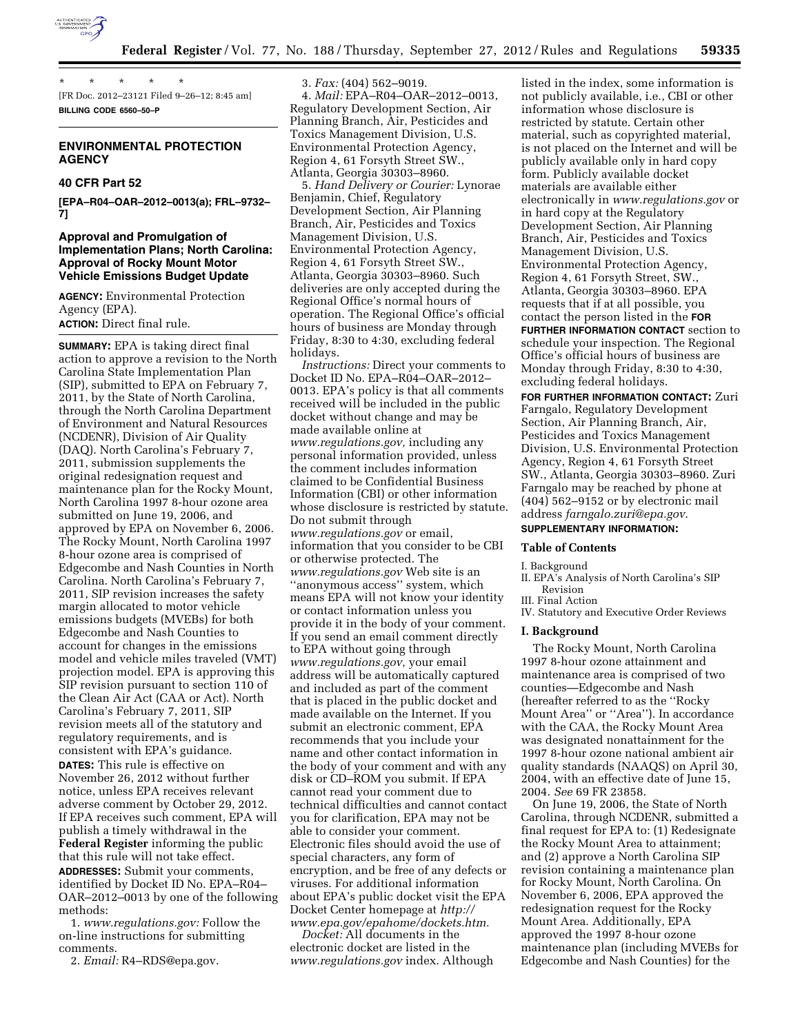

\* \* \* \* \* [FR Doc. 2012–23121 Filed 9–26–12; 8:45 am] **BILLING CODE 6560–50–P** 

# **ENVIRONMENTAL PROTECTION AGENCY**

# **40 CFR Part 52**

**[EPA–R04–OAR–2012–0013(a); FRL–9732– 7]** 

### **Approval and Promulgation of Implementation Plans; North Carolina: Approval of Rocky Mount Motor Vehicle Emissions Budget Update**

**AGENCY:** Environmental Protection Agency (EPA). **ACTION:** Direct final rule.

**SUMMARY:** EPA is taking direct final action to approve a revision to the North Carolina State Implementation Plan (SIP), submitted to EPA on February 7, 2011, by the State of North Carolina, through the North Carolina Department of Environment and Natural Resources (NCDENR), Division of Air Quality (DAQ). North Carolina's February 7, 2011, submission supplements the original redesignation request and maintenance plan for the Rocky Mount, North Carolina 1997 8-hour ozone area submitted on June 19, 2006, and approved by EPA on November 6, 2006. The Rocky Mount, North Carolina 1997 8-hour ozone area is comprised of Edgecombe and Nash Counties in North Carolina. North Carolina's February 7, 2011, SIP revision increases the safety margin allocated to motor vehicle emissions budgets (MVEBs) for both Edgecombe and Nash Counties to account for changes in the emissions model and vehicle miles traveled (VMT) projection model. EPA is approving this SIP revision pursuant to section 110 of the Clean Air Act (CAA or Act). North Carolina's February 7, 2011, SIP revision meets all of the statutory and regulatory requirements, and is consistent with EPA's guidance.

**DATES:** This rule is effective on November 26, 2012 without further notice, unless EPA receives relevant adverse comment by October 29, 2012. If EPA receives such comment, EPA will publish a timely withdrawal in the **Federal Register** informing the public that this rule will not take effect.

**ADDRESSES:** Submit your comments, identified by Docket ID No. EPA–R04– OAR–2012–0013 by one of the following methods:

1. *[www.regulations.gov:](http://www.regulations.gov)* Follow the on-line instructions for submitting comments.

2. *Email:* R4–RDS@epa.gov.

3. *Fax:* (404) 562–9019. 4. *Mail:* EPA–R04–OAR–2012–0013, Regulatory Development Section, Air Planning Branch, Air, Pesticides and Toxics Management Division, U.S. Environmental Protection Agency, Region 4, 61 Forsyth Street SW., Atlanta, Georgia 30303–8960.

5. *Hand Delivery or Courier:* Lynorae Benjamin, Chief, Regulatory Development Section, Air Planning Branch, Air, Pesticides and Toxics Management Division, U.S. Environmental Protection Agency, Region 4, 61 Forsyth Street SW., Atlanta, Georgia 30303–8960. Such deliveries are only accepted during the Regional Office's normal hours of operation. The Regional Office's official hours of business are Monday through Friday, 8:30 to 4:30, excluding federal holidays.

*Instructions:* Direct your comments to Docket ID No. EPA–R04–OAR–2012– 0013. EPA's policy is that all comments received will be included in the public docket without change and may be made available online at *[www.regulations.gov,](http://www.regulations.gov)* including any personal information provided, unless the comment includes information claimed to be Confidential Business Information (CBI) or other information whose disclosure is restricted by statute. Do not submit through *[www.regulations.gov](http://www.regulations.gov)* or email, information that you consider to be CBI or otherwise protected. The *[www.regulations.gov](http://www.regulations.gov)* Web site is an ''anonymous access'' system, which means EPA will not know your identity or contact information unless you provide it in the body of your comment. If you send an email comment directly to EPA without going through *[www.regulations.gov,](http://www.regulations.gov)* your email address will be automatically captured and included as part of the comment that is placed in the public docket and made available on the Internet. If you submit an electronic comment, EPA recommends that you include your name and other contact information in the body of your comment and with any disk or CD–ROM you submit. If EPA cannot read your comment due to technical difficulties and cannot contact you for clarification, EPA may not be able to consider your comment. Electronic files should avoid the use of special characters, any form of encryption, and be free of any defects or viruses. For additional information about EPA's public docket visit the EPA Docket Center homepage at *[http://](http://www.epa.gov/epahome/dockets.htm) [www.epa.gov/epahome/dockets.htm.](http://www.epa.gov/epahome/dockets.htm)* 

*Docket:* All documents in the electronic docket are listed in the *[www.regulations.gov](http://www.regulations.gov)* index. Although listed in the index, some information is not publicly available, i.e., CBI or other information whose disclosure is restricted by statute. Certain other material, such as copyrighted material, is not placed on the Internet and will be publicly available only in hard copy form. Publicly available docket materials are available either electronically in *[www.regulations.gov](http://www.regulations.gov)* or in hard copy at the Regulatory Development Section, Air Planning Branch, Air, Pesticides and Toxics Management Division, U.S. Environmental Protection Agency, Region 4, 61 Forsyth Street, SW., Atlanta, Georgia 30303–8960. EPA requests that if at all possible, you contact the person listed in the **FOR FURTHER INFORMATION CONTACT** section to schedule your inspection. The Regional Office's official hours of business are Monday through Friday, 8:30 to 4:30, excluding federal holidays.

**FOR FURTHER INFORMATION CONTACT:** Zuri Farngalo, Regulatory Development Section, Air Planning Branch, Air, Pesticides and Toxics Management Division, U.S. Environmental Protection Agency, Region 4, 61 Forsyth Street SW., Atlanta, Georgia 30303–8960. Zuri Farngalo may be reached by phone at (404) 562–9152 or by electronic mail address *[farngalo.zuri@epa.gov](mailto:farngalo.zuri@epa.gov)*.

# **SUPPLEMENTARY INFORMATION:**

### **Table of Contents**

I. Background

- II. EPA's Analysis of North Carolina's SIP Revision
- III. Final Action
- IV. Statutory and Executive Order Reviews

### **I. Background**

The Rocky Mount, North Carolina 1997 8-hour ozone attainment and maintenance area is comprised of two counties—Edgecombe and Nash (hereafter referred to as the ''Rocky Mount Area'' or ''Area''). In accordance with the CAA, the Rocky Mount Area was designated nonattainment for the 1997 8-hour ozone national ambient air quality standards (NAAQS) on April 30, 2004, with an effective date of June 15, 2004. *See* 69 FR 23858.

On June 19, 2006, the State of North Carolina, through NCDENR, submitted a final request for EPA to: (1) Redesignate the Rocky Mount Area to attainment; and (2) approve a North Carolina SIP revision containing a maintenance plan for Rocky Mount, North Carolina. On November 6, 2006, EPA approved the redesignation request for the Rocky Mount Area. Additionally, EPA approved the 1997 8-hour ozone maintenance plan (including MVEBs for Edgecombe and Nash Counties) for the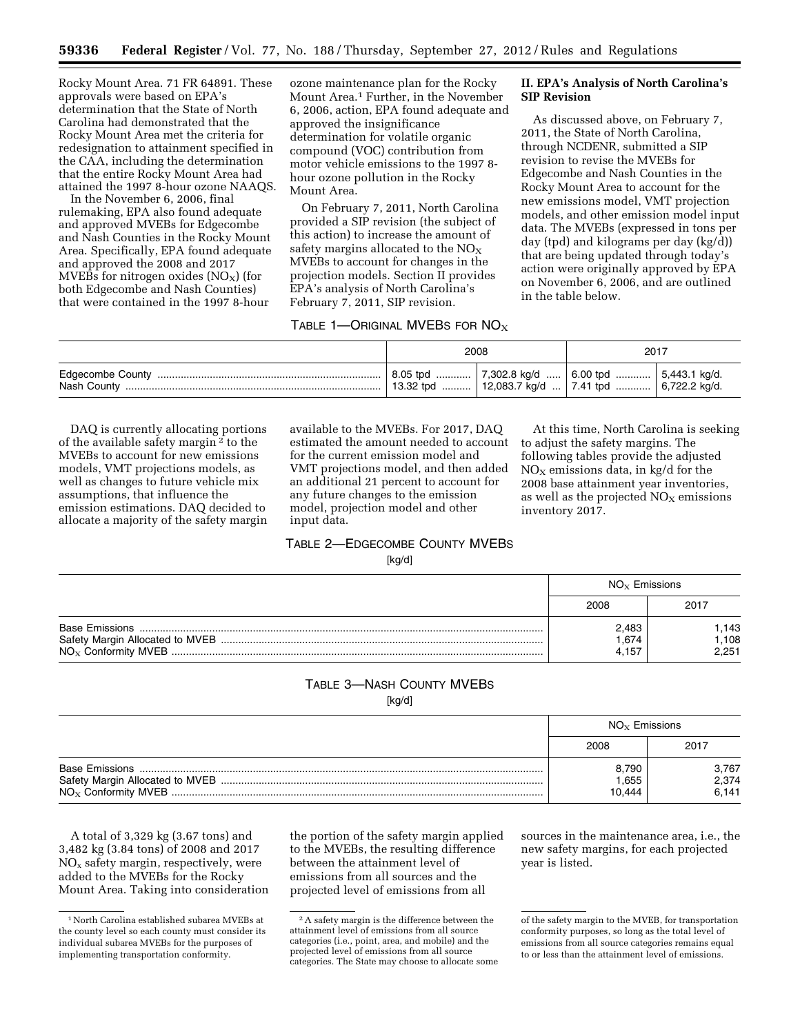Rocky Mount Area. 71 FR 64891. These approvals were based on EPA's determination that the State of North Carolina had demonstrated that the Rocky Mount Area met the criteria for redesignation to attainment specified in the CAA, including the determination that the entire Rocky Mount Area had attained the 1997 8-hour ozone NAAQS.

In the November 6, 2006, final rulemaking, EPA also found adequate and approved MVEBs for Edgecombe and Nash Counties in the Rocky Mount Area. Specifically, EPA found adequate and approved the 2008 and 2017 MVEBs for nitrogen oxides  $NO<sub>X</sub>$ ) (for both Edgecombe and Nash Counties) that were contained in the 1997 8-hour

ozone maintenance plan for the Rocky Mount Area.1 Further, in the November 6, 2006, action, EPA found adequate and approved the insignificance determination for volatile organic compound (VOC) contribution from motor vehicle emissions to the 1997 8 hour ozone pollution in the Rocky Mount Area.

On February 7, 2011, North Carolina provided a SIP revision (the subject of this action) to increase the amount of safety margins allocated to the  $NO<sub>x</sub>$ MVEBs to account for changes in the projection models. Section II provides EPA's analysis of North Carolina's February 7, 2011, SIP revision.

### TABLE 1—ORIGINAL MVEBS FOR  $NO<sub>x</sub>$

# **II. EPA's Analysis of North Carolina's SIP Revision**

As discussed above, on February 7, 2011, the State of North Carolina, through NCDENR, submitted a SIP revision to revise the MVEBs for Edgecombe and Nash Counties in the Rocky Mount Area to account for the new emissions model, VMT projection models, and other emission model input data. The MVEBs (expressed in tons per day (tpd) and kilograms per day (kg/d)) that are being updated through today's action were originally approved by EPA on November 6, 2006, and are outlined in the table below.

| 2008 |                                                                                                                            | 2017 |  |
|------|----------------------------------------------------------------------------------------------------------------------------|------|--|
|      | $\vert$ 8.05 tpd  7,302.8 kg/d  6.00 tpd  5,443.1 kg/d.<br>$\vert$ 13.32 tpd    12,083.7 kg/d    7.41 tpd    6,722.2 kg/d. |      |  |

DAQ is currently allocating portions of the available safety margin 2 to the MVEBs to account for new emissions models, VMT projections models, as well as changes to future vehicle mix assumptions, that influence the emission estimations. DAQ decided to allocate a majority of the safety margin available to the MVEBs. For 2017, DAQ estimated the amount needed to account for the current emission model and VMT projections model, and then added an additional 21 percent to account for any future changes to the emission model, projection model and other input data.

At this time, North Carolina is seeking to adjust the safety margins. The following tables provide the adjusted  $NO<sub>x</sub>$  emissions data, in kg/d for the 2008 base attainment year inventories, as well as the projected  $NO<sub>x</sub>$  emissions inventory 2017.

# TABLE 2—EDGECOMBE COUNTY MVEBS [kg/d]

| $NOx$ Emissions        |                        |
|------------------------|------------------------|
| 2008                   | 2017                   |
| 2,483<br>.674<br>4.157 | .143<br>1,108<br>2.251 |

# TABLE 3—NASH COUNTY MVEBS

[kg/d]

| $NO_x$ Emissions |       |
|------------------|-------|
| 2008             | 2017  |
| 8,790            | 3.767 |
| .655             | 2,374 |
| 10.444           | 6.141 |

A total of 3,329 kg (3.67 tons) and 3,482 kg (3.84 tons) of 2008 and 2017  $NO<sub>x</sub>$  safety margin, respectively, were added to the MVEBs for the Rocky Mount Area. Taking into consideration the portion of the safety margin applied to the MVEBs, the resulting difference between the attainment level of emissions from all sources and the projected level of emissions from all

sources in the maintenance area, i.e., the new safety margins, for each projected year is listed.

<sup>1</sup>North Carolina established subarea MVEBs at the county level so each county must consider its individual subarea MVEBs for the purposes of implementing transportation conformity.

<sup>2</sup>A safety margin is the difference between the attainment level of emissions from all source categories (i.e., point, area, and mobile) and the projected level of emissions from all source categories. The State may choose to allocate some

of the safety margin to the MVEB, for transportation conformity purposes, so long as the total level of emissions from all source categories remains equal to or less than the attainment level of emissions.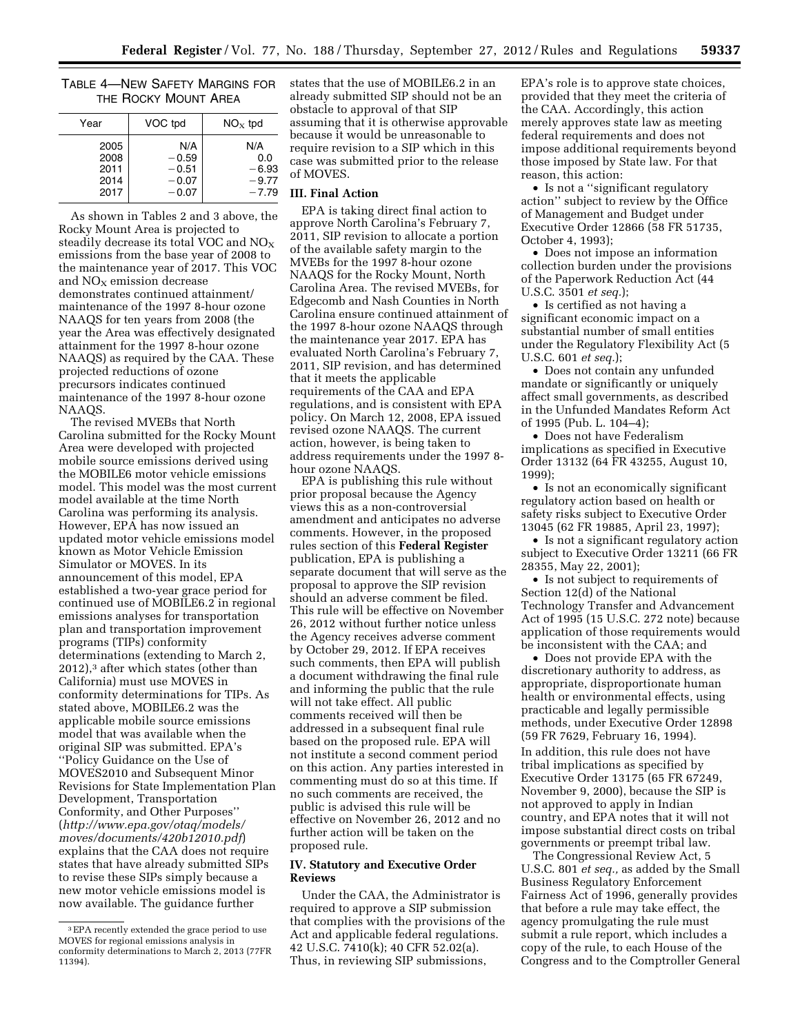### TABLE 4—NEW SAFETY MARGINS FOR THE ROCKY MOUNT AREA

| Year | VOC tpd | $NO_{\rm x}$ tpd |  |
|------|---------|------------------|--|
| 2005 | N/A     | N/A              |  |
| 2008 | $-0.59$ | 0.0              |  |
| 2011 | $-0.51$ | $-6.93$          |  |
| 2014 | $-0.07$ | $-9.77$          |  |
| 2017 | $-0.07$ | $-7.79$          |  |

As shown in Tables 2 and 3 above, the Rocky Mount Area is projected to steadily decrease its total VOC and  $NO<sub>X</sub>$ emissions from the base year of 2008 to the maintenance year of 2017. This VOC and  $NO<sub>X</sub>$  emission decrease demonstrates continued attainment/ maintenance of the 1997 8-hour ozone NAAQS for ten years from 2008 (the year the Area was effectively designated attainment for the 1997 8-hour ozone NAAQS) as required by the CAA. These projected reductions of ozone precursors indicates continued maintenance of the 1997 8-hour ozone NAAQS.

The revised MVEBs that North Carolina submitted for the Rocky Mount Area were developed with projected mobile source emissions derived using the MOBILE6 motor vehicle emissions model. This model was the most current model available at the time North Carolina was performing its analysis. However, EPA has now issued an updated motor vehicle emissions model known as Motor Vehicle Emission Simulator or MOVES. In its announcement of this model, EPA established a two-year grace period for continued use of MOBILE6.2 in regional emissions analyses for transportation plan and transportation improvement programs (TIPs) conformity determinations (extending to March 2, 2012),3 after which states (other than California) must use MOVES in conformity determinations for TIPs. As stated above, MOBILE6.2 was the applicable mobile source emissions model that was available when the original SIP was submitted. EPA's ''Policy Guidance on the Use of MOVES2010 and Subsequent Minor Revisions for State Implementation Plan Development, Transportation Conformity, and Other Purposes'' (*[http://www.epa.gov/otaq/models/](http://www.epa.gov/otaq/models/moves/documents/420b12010.pdf)  [moves/documents/420b12010.pdf](http://www.epa.gov/otaq/models/moves/documents/420b12010.pdf)*) explains that the CAA does not require states that have already submitted SIPs to revise these SIPs simply because a new motor vehicle emissions model is now available. The guidance further

states that the use of MOBILE6.2 in an already submitted SIP should not be an obstacle to approval of that SIP assuming that it is otherwise approvable because it would be unreasonable to require revision to a SIP which in this case was submitted prior to the release of MOVES.

#### **III. Final Action**

EPA is taking direct final action to approve North Carolina's February 7, 2011, SIP revision to allocate a portion of the available safety margin to the MVEBs for the 1997 8-hour ozone NAAQS for the Rocky Mount, North Carolina Area. The revised MVEBs, for Edgecomb and Nash Counties in North Carolina ensure continued attainment of the 1997 8-hour ozone NAAQS through the maintenance year 2017. EPA has evaluated North Carolina's February 7, 2011, SIP revision, and has determined that it meets the applicable requirements of the CAA and EPA regulations, and is consistent with EPA policy. On March 12, 2008, EPA issued revised ozone NAAQS. The current action, however, is being taken to address requirements under the 1997 8 hour ozone NAAQS.

EPA is publishing this rule without prior proposal because the Agency views this as a non-controversial amendment and anticipates no adverse comments. However, in the proposed rules section of this **Federal Register**  publication, EPA is publishing a separate document that will serve as the proposal to approve the SIP revision should an adverse comment be filed. This rule will be effective on November 26, 2012 without further notice unless the Agency receives adverse comment by October 29, 2012. If EPA receives such comments, then EPA will publish a document withdrawing the final rule and informing the public that the rule will not take effect. All public comments received will then be addressed in a subsequent final rule based on the proposed rule. EPA will not institute a second comment period on this action. Any parties interested in commenting must do so at this time. If no such comments are received, the public is advised this rule will be effective on November 26, 2012 and no further action will be taken on the proposed rule.

### **IV. Statutory and Executive Order Reviews**

Under the CAA, the Administrator is required to approve a SIP submission that complies with the provisions of the Act and applicable federal regulations. 42 U.S.C. 7410(k); 40 CFR 52.02(a). Thus, in reviewing SIP submissions,

EPA's role is to approve state choices, provided that they meet the criteria of the CAA. Accordingly, this action merely approves state law as meeting federal requirements and does not impose additional requirements beyond those imposed by State law. For that reason, this action:

• Is not a ''significant regulatory action'' subject to review by the Office of Management and Budget under Executive Order 12866 (58 FR 51735, October 4, 1993);

• Does not impose an information collection burden under the provisions of the Paperwork Reduction Act (44 U.S.C. 3501 *et seq.*);

• Is certified as not having a significant economic impact on a substantial number of small entities under the Regulatory Flexibility Act (5 U.S.C. 601 *et seq.*);

• Does not contain any unfunded mandate or significantly or uniquely affect small governments, as described in the Unfunded Mandates Reform Act of 1995 (Pub. L. 104–4);

• Does not have Federalism implications as specified in Executive Order 13132 (64 FR 43255, August 10, 1999);

• Is not an economically significant regulatory action based on health or safety risks subject to Executive Order 13045 (62 FR 19885, April 23, 1997);

• Is not a significant regulatory action subject to Executive Order 13211 (66 FR 28355, May 22, 2001);

• Is not subject to requirements of Section 12(d) of the National Technology Transfer and Advancement Act of 1995 (15 U.S.C. 272 note) because application of those requirements would be inconsistent with the CAA; and

• Does not provide EPA with the discretionary authority to address, as appropriate, disproportionate human health or environmental effects, using practicable and legally permissible methods, under Executive Order 12898 (59 FR 7629, February 16, 1994). In addition, this rule does not have tribal implications as specified by Executive Order 13175 (65 FR 67249, November 9, 2000), because the SIP is not approved to apply in Indian country, and EPA notes that it will not impose substantial direct costs on tribal governments or preempt tribal law.

The Congressional Review Act, 5 U.S.C. 801 *et seq.,* as added by the Small Business Regulatory Enforcement Fairness Act of 1996, generally provides that before a rule may take effect, the agency promulgating the rule must submit a rule report, which includes a copy of the rule, to each House of the Congress and to the Comptroller General

<sup>3</sup>EPA recently extended the grace period to use MOVES for regional emissions analysis in conformity determinations to March 2, 2013 (77FR 11394).